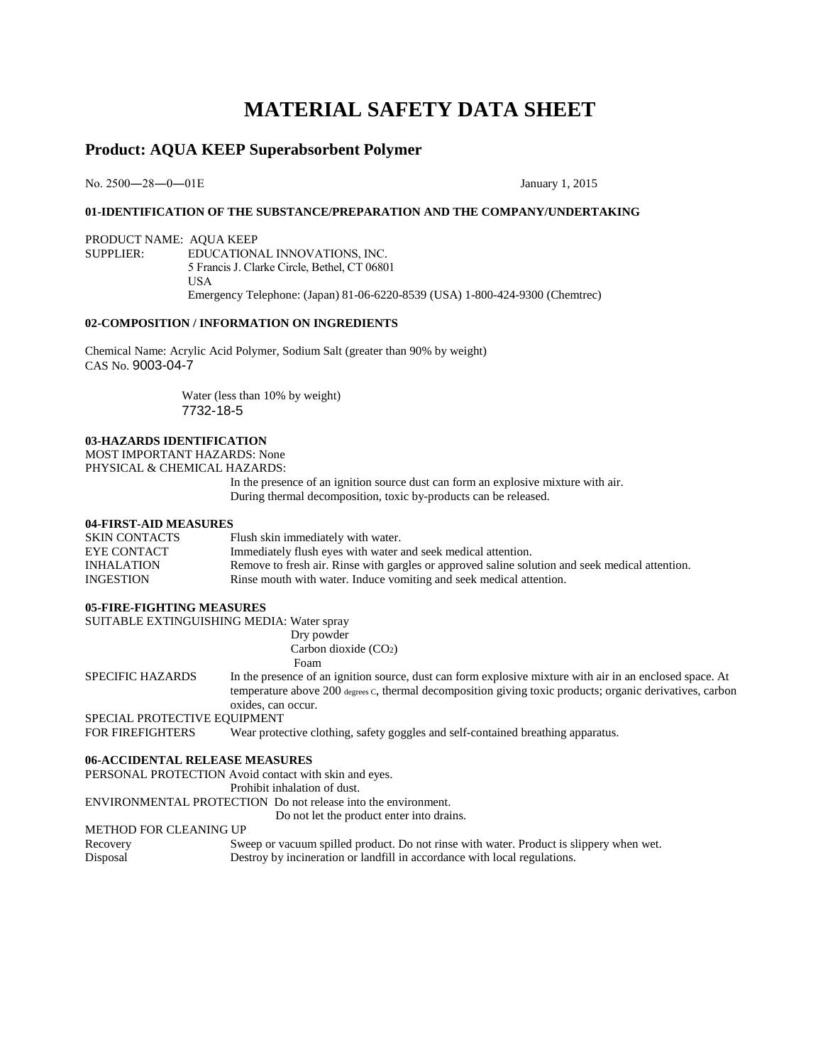# **MATERIAL SAFETY DATA SHEET**

# **Product: AQUA KEEP Superabsorbent Polymer**

No. 2500―28―0―01E January 1, 2015

#### **01-IDENTIFICATION OF THE SUBSTANCE/PREPARATION AND THE COMPANY/UNDERTAKING**

PRODUCT NAME: AQUA KEEP<br>SUPPLIER: EDUCATION EDUCATIONAL INNOVATIONS, INC. 5 Francis J. Clarke Circle, Bethel, CT 06801 USA Emergency Telephone: (Japan) 81-06-6220-8539 (USA) 1-800-424-9300 (Chemtrec)

## **02-COMPOSITION / INFORMATION ON INGREDIENTS**

Chemical Name: Acrylic Acid Polymer, Sodium Salt (greater than 90% by weight) CAS No. 9003-04-7

> Water (less than 10% by weight) 7732-18-5

# **03-HAZARDS IDENTIFICATION**

MOST IMPORTANT HAZARDS: None PHYSICAL & CHEMICAL HAZARDS:

In the presence of an ignition source dust can form an explosive mixture with air. During thermal decomposition, toxic by-products can be released.

#### **04-FIRST-AID MEASURES**

| SKIN CONTACTS     | Flush skin immediately with water.                                                              |
|-------------------|-------------------------------------------------------------------------------------------------|
| EYE CONTACT       | Immediately flush eyes with water and seek medical attention.                                   |
| <b>INHALATION</b> | Remove to fresh air. Rinse with gargles or approved saline solution and seek medical attention. |
| <b>INGESTION</b>  | Rinse mouth with water. Induce vomiting and seek medical attention.                             |

## **05-FIRE-FIGHTING MEASURES**

| SUITABLE EXTINGUISHING MEDIA: Water spray |                                                                                                                                                                                                                                             |
|-------------------------------------------|---------------------------------------------------------------------------------------------------------------------------------------------------------------------------------------------------------------------------------------------|
|                                           | Dry powder                                                                                                                                                                                                                                  |
|                                           | Carbon dioxide $(CO2)$                                                                                                                                                                                                                      |
|                                           | Foam                                                                                                                                                                                                                                        |
| <b>SPECIFIC HAZARDS</b>                   | In the presence of an ignition source, dust can form explosive mixture with air in an enclosed space. At<br>temperature above 200 degrees c, thermal decomposition giving toxic products; organic derivatives, carbon<br>oxides, can occur. |
| SPECIAL PROTECTIVE EQUIPMENT              |                                                                                                                                                                                                                                             |
| <b>FOR FIREFIGHTERS</b>                   | Wear protective clothing, safety goggles and self-contained breathing apparatus.                                                                                                                                                            |
| <b>06-ACCIDENTAL RELEASE MEASURES</b>     |                                                                                                                                                                                                                                             |
|                                           | PERSONAL PROTECTION Avoid contact with skin and eyes.                                                                                                                                                                                       |
|                                           | Prohibit inhalation of dust.                                                                                                                                                                                                                |
|                                           | ENVIRONMENTAL PROTECTION Do not release into the environment.                                                                                                                                                                               |
|                                           | Do not let the product enter into drains.                                                                                                                                                                                                   |
| <b>METHOD FOR CLEANING UP</b>             |                                                                                                                                                                                                                                             |

| Recovery | Sweep or vacuum spilled product. Do not rinse with water. Product is slippery when wet. |
|----------|-----------------------------------------------------------------------------------------|
| Disposal | Destroy by incineration or landfill in accordance with local regulations.               |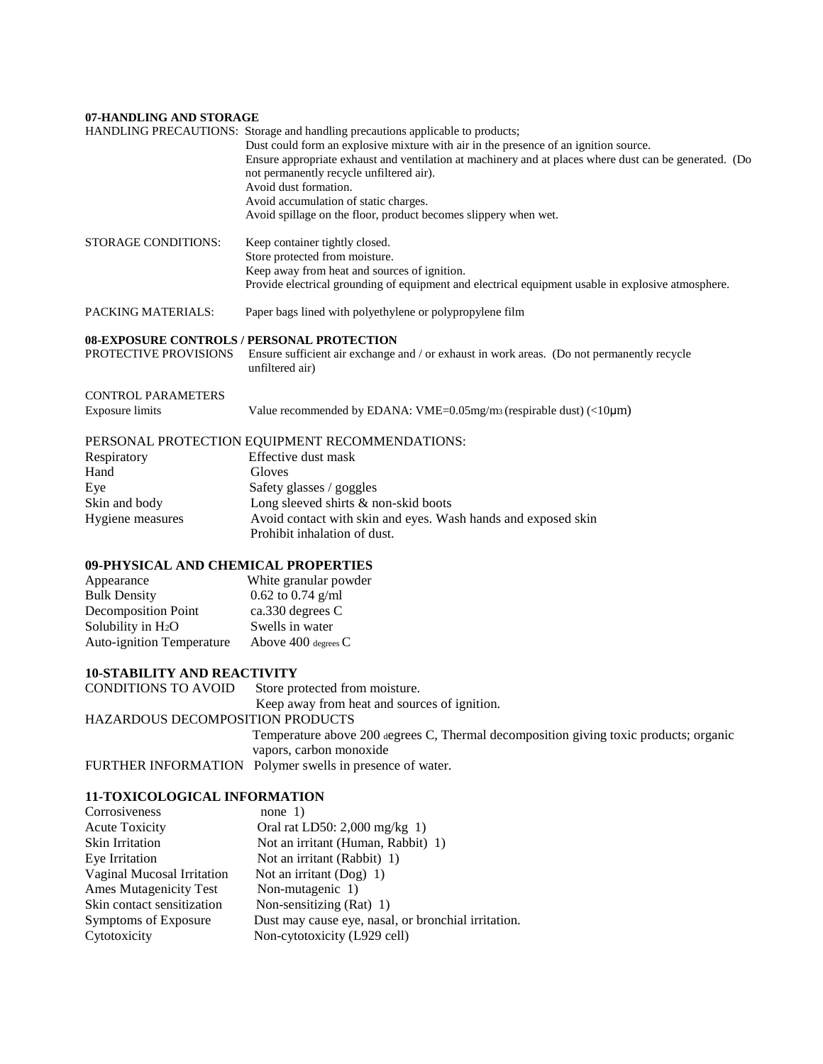## **07-HANDLING AND STORAGE**

|                                                                            | HANDLING PRECAUTIONS: Storage and handling precautions applicable to products;<br>Dust could form an explosive mixture with air in the presence of an ignition source.<br>Ensure appropriate exhaust and ventilation at machinery and at places where dust can be generated. (Do<br>not permanently recycle unfiltered air).<br>Avoid dust formation.<br>Avoid accumulation of static charges.<br>Avoid spillage on the floor, product becomes slippery when wet. |
|----------------------------------------------------------------------------|-------------------------------------------------------------------------------------------------------------------------------------------------------------------------------------------------------------------------------------------------------------------------------------------------------------------------------------------------------------------------------------------------------------------------------------------------------------------|
| <b>STORAGE CONDITIONS:</b>                                                 | Keep container tightly closed.<br>Store protected from moisture.<br>Keep away from heat and sources of ignition.<br>Provide electrical grounding of equipment and electrical equipment usable in explosive atmosphere.                                                                                                                                                                                                                                            |
| <b>PACKING MATERIALS:</b>                                                  | Paper bags lined with polyethylene or polypropylene film                                                                                                                                                                                                                                                                                                                                                                                                          |
| <b>08-EXPOSURE CONTROLS / PERSONAL PROTECTION</b><br>PROTECTIVE PROVISIONS | Ensure sufficient air exchange and / or exhaust in work areas. (Do not permanently recycle<br>unfiltered air)                                                                                                                                                                                                                                                                                                                                                     |
| <b>CONTROL PARAMETERS</b><br>Exposure limits                               | Value recommended by EDANA: VME= $0.05$ mg/m <sub>3</sub> (respirable dust) (<10 $\mu$ m)                                                                                                                                                                                                                                                                                                                                                                         |
| Respiratory<br>Hand<br>Eye<br>Skin and body<br>Hygiene measures            | PERSONAL PROTECTION EQUIPMENT RECOMMENDATIONS:<br>Effective dust mask<br>Gloves<br>Safety glasses / goggles<br>Long sleeved shirts & non-skid boots<br>Avoid contact with skin and eyes. Wash hands and exposed skin<br>Prohibit inhalation of dust.                                                                                                                                                                                                              |

# **09-PHYSICAL AND CHEMICAL PROPERTIES**

| White granular powder |
|-----------------------|
| $0.62$ to $0.74$ g/ml |
| ca.330 degrees C      |
| Swells in water       |
| Above $400$ degrees C |
|                       |

# **10-STABILITY AND REACTIVITY**<br>CONDITIONS TO AVOID Store pr

Store protected from moisture.

Keep away from heat and sources of ignition. HAZARDOUS DECOMPOSITION PRODUCTS Temperature above 200 degrees C, Thermal decomposition giving toxic products; organic vapors, carbon monoxide

FURTHER INFORMATION Polymer swells in presence of water.

# **11-TOXICOLOGICAL INFORMATION**

| none $1)$                                           |
|-----------------------------------------------------|
| Oral rat LD50: $2,000$ mg/kg 1)                     |
| Not an irritant (Human, Rabbit) 1)                  |
| Not an irritant (Rabbit) 1)                         |
| Not an irritant $(Dog)$ 1)                          |
| Non-mutagenic 1)                                    |
| Non-sensitizing $(Rat)$ 1)                          |
| Dust may cause eye, nasal, or bronchial irritation. |
| Non-cytotoxicity (L929 cell)                        |
|                                                     |